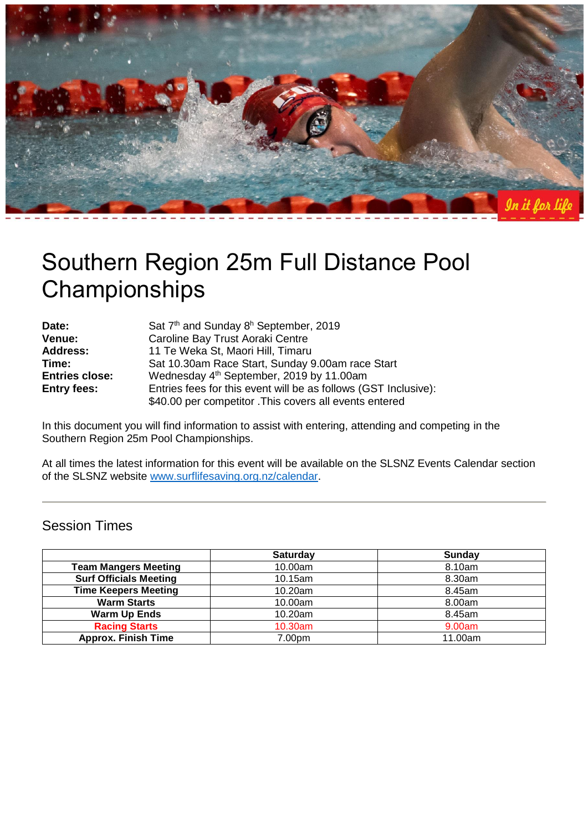

# Southern Region 25m Full Distance Pool **Championships**

| Date:                 | Sat 7 <sup>th</sup> and Sunday 8 <sup>h</sup> September, 2019   |
|-----------------------|-----------------------------------------------------------------|
| Venue:                | Caroline Bay Trust Aoraki Centre                                |
| <b>Address:</b>       | 11 Te Weka St, Maori Hill, Timaru                               |
| Time:                 | Sat 10.30am Race Start, Sunday 9.00am race Start                |
| <b>Entries close:</b> | Wednesday 4 <sup>th</sup> September, 2019 by 11.00am            |
| <b>Entry fees:</b>    | Entries fees for this event will be as follows (GST Inclusive): |
|                       | \$40.00 per competitor . This covers all events entered         |

In this document you will find information to assist with entering, attending and competing in the Southern Region 25m Pool Championships.

At all times the latest information for this event will be available on the SLSNZ Events Calendar section of the SLSNZ website [www.surflifesaving.org.nz/calendar.](http://www.surflifesaving.org.nz/calendar)

## Session Times

|                               | Saturday | <b>Sunday</b> |
|-------------------------------|----------|---------------|
| <b>Team Mangers Meeting</b>   | 10.00am  | 8.10am        |
| <b>Surf Officials Meeting</b> | 10.15am  | 8.30am        |
| <b>Time Keepers Meeting</b>   | 10.20am  | 8.45am        |
| <b>Warm Starts</b>            | 10.00am  | 8.00am        |
| <b>Warm Up Ends</b>           | 10.20am  | 8.45am        |
| <b>Racing Starts</b>          | 10.30am  | 9.00am        |
| <b>Approx. Finish Time</b>    | 7.00pm   | 11.00am       |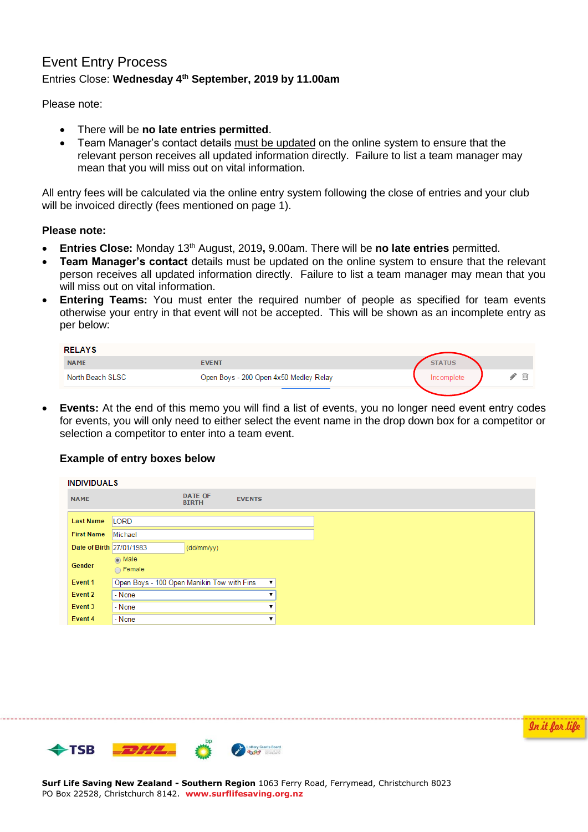## Event Entry Process Entries Close: **Wednesday 4th September, 2019 by 11.00am**

Please note:

- There will be **no late entries permitted**.
- Team Manager's contact details must be updated on the online system to ensure that the relevant person receives all updated information directly. Failure to list a team manager may mean that you will miss out on vital information.

All entry fees will be calculated via the online entry system following the close of entries and your club will be invoiced directly (fees mentioned on page 1).

#### **Please note:**

- **Entries Close:** Monday 13th August, 2019**,** 9.00am. There will be **no late entries** permitted.
- **Team Manager's contact** details must be updated on the online system to ensure that the relevant person receives all updated information directly. Failure to list a team manager may mean that you will miss out on vital information.
- **Entering Teams:** You must enter the required number of people as specified for team events otherwise your entry in that event will not be accepted. This will be shown as an incomplete entry as per below:

| <b>RELAYS</b>    |                                        |                 |
|------------------|----------------------------------------|-----------------|
| <b>NAME</b>      | <b>EVENT</b>                           | <b>STATUS</b>   |
| North Beach SLSC | Open Boys - 200 Open 4x50 Medley Relay | 而<br>Incomplete |
|                  |                                        |                 |

 **Events:** At the end of this memo you will find a list of events, you no longer need event entry codes for events, you will only need to either select the event name in the drop down box for a competitor or selection a competitor to enter into a team event.

#### **Example of entry boxes below**

| <b>INDIVIDUALS</b>       |                                            |                                |                    |  |
|--------------------------|--------------------------------------------|--------------------------------|--------------------|--|
| <b>NAME</b>              |                                            | <b>DATE OF</b><br><b>BIRTH</b> | <b>EVENTS</b>      |  |
| <b>Last Name</b>         | LORD                                       |                                |                    |  |
| <b>First Name</b>        | Michael                                    |                                |                    |  |
| Date of Birth 27/01/1983 |                                            | (dd/mm/yy)                     |                    |  |
| Gender                   | $\odot$ Male<br>∩ Female                   |                                |                    |  |
| Event 1                  | Open Boys - 100 Open Manikin Tow with Fins |                                | $\pmb{\mathrm{v}}$ |  |
| Event 2                  | - None                                     |                                |                    |  |
| Event 3                  | - None                                     |                                |                    |  |
| Event 4                  | - None                                     |                                |                    |  |

In it for life

**TSB** Lottery Grants Board

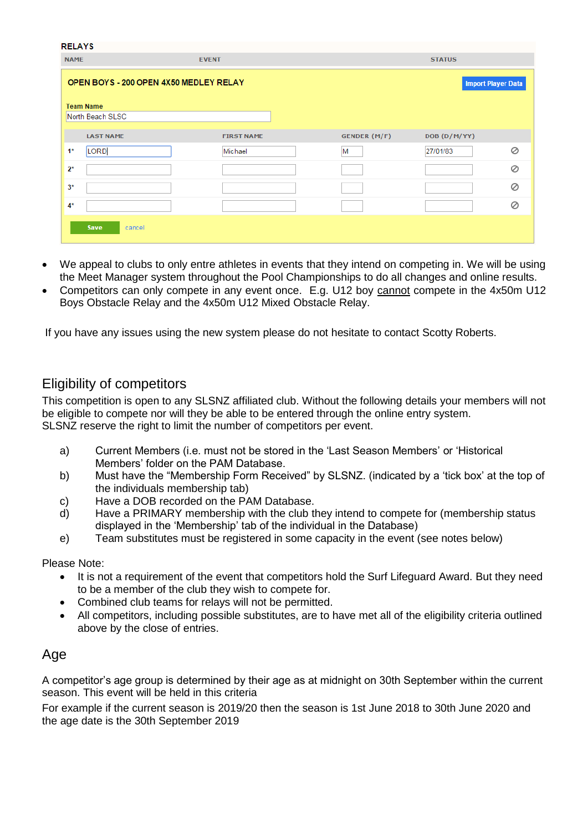| <b>RELAYS</b> |                                        |                   |                     |               |                           |
|---------------|----------------------------------------|-------------------|---------------------|---------------|---------------------------|
| <b>NAME</b>   |                                        | <b>EVENT</b>      |                     | <b>STATUS</b> |                           |
|               | OPEN BOYS - 200 OPEN 4X50 MEDLEY RELAY |                   |                     |               | <b>Import Player Data</b> |
|               | <b>Team Name</b>                       |                   |                     |               |                           |
|               | North Beach SLSC                       |                   |                     |               |                           |
|               | <b>LAST NAME</b>                       | <b>FIRST NAME</b> | <b>GENDER (M/F)</b> | DOB (D/M/YY)  |                           |
| $1*$          | LORD                                   | Michael           | M                   | 27/01/83      | Ø                         |
| $2^*$         |                                        |                   |                     |               | $\oslash$                 |
| $3*$          |                                        |                   |                     |               | Ø                         |
| $4*$          |                                        |                   |                     |               | Ø                         |
|               | <b>Save</b><br>cancel                  |                   |                     |               |                           |

- We appeal to clubs to only entre athletes in events that they intend on competing in. We will be using the Meet Manager system throughout the Pool Championships to do all changes and online results.
- Competitors can only compete in any event once. E.g. U12 boy cannot compete in the 4x50m U12 Boys Obstacle Relay and the 4x50m U12 Mixed Obstacle Relay.

If you have any issues using the new system please do not hesitate to contact Scotty Roberts.

## Eligibility of competitors

This competition is open to any SLSNZ affiliated club. Without the following details your members will not be eligible to compete nor will they be able to be entered through the online entry system. SLSNZ reserve the right to limit the number of competitors per event.

- a) Current Members (i.e. must not be stored in the 'Last Season Members' or 'Historical Members' folder on the PAM Database.
- b) Must have the "Membership Form Received" by SLSNZ. (indicated by a 'tick box' at the top of the individuals membership tab)
- c) Have a DOB recorded on the PAM Database.
- d) Have a PRIMARY membership with the club they intend to compete for (membership status displayed in the 'Membership' tab of the individual in the Database)
- e) Team substitutes must be registered in some capacity in the event (see notes below)

Please Note:

- It is not a requirement of the event that competitors hold the Surf Lifeguard Award. But they need to be a member of the club they wish to compete for.
- Combined club teams for relays will not be permitted.
- All competitors, including possible substitutes, are to have met all of the eligibility criteria outlined above by the close of entries.

## Age

A competitor's age group is determined by their age as at midnight on 30th September within the current season. This event will be held in this criteria

For example if the current season is 2019/20 then the season is 1st June 2018 to 30th June 2020 and the age date is the 30th September 2019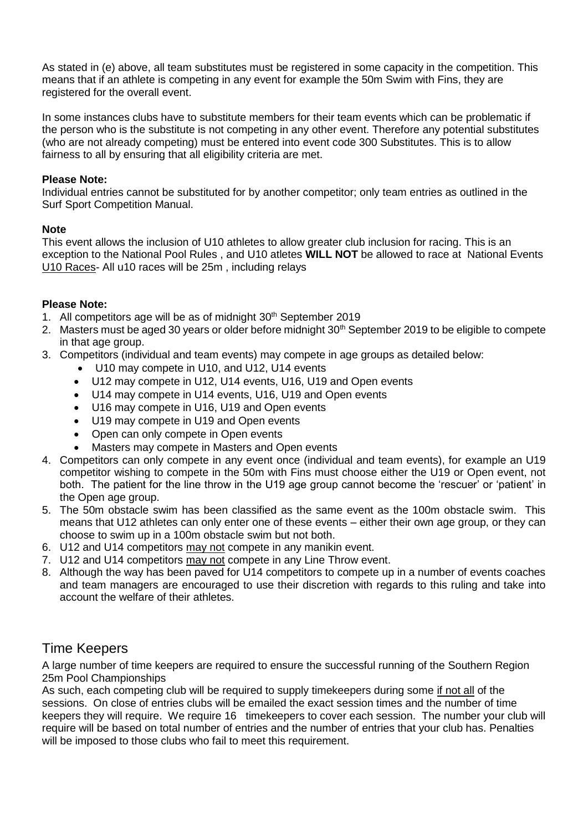As stated in (e) above, all team substitutes must be registered in some capacity in the competition. This means that if an athlete is competing in any event for example the 50m Swim with Fins, they are registered for the overall event.

In some instances clubs have to substitute members for their team events which can be problematic if the person who is the substitute is not competing in any other event. Therefore any potential substitutes (who are not already competing) must be entered into event code 300 Substitutes. This is to allow fairness to all by ensuring that all eligibility criteria are met.

#### **Please Note:**

Individual entries cannot be substituted for by another competitor; only team entries as outlined in the Surf Sport Competition Manual.

#### **Note**

This event allows the inclusion of U10 athletes to allow greater club inclusion for racing. This is an exception to the National Pool Rules , and U10 atletes **WILL NOT** be allowed to race at National Events U10 Races- All u10 races will be 25m , including relays

#### **Please Note:**

- 1. All competitors age will be as of midnight  $30<sup>th</sup>$  September 2019
- 2. Masters must be aged 30 years or older before midnight 30<sup>th</sup> September 2019 to be eligible to compete in that age group.
- 3. Competitors (individual and team events) may compete in age groups as detailed below:
	- U10 may compete in U10, and U12, U14 events
	- U12 may compete in U12, U14 events, U16, U19 and Open events
	- U14 may compete in U14 events, U16, U19 and Open events
	- U16 may compete in U16, U19 and Open events
	- U19 may compete in U19 and Open events
	- Open can only compete in Open events
	- Masters may compete in Masters and Open events
- 4. Competitors can only compete in any event once (individual and team events), for example an U19 competitor wishing to compete in the 50m with Fins must choose either the U19 or Open event, not both. The patient for the line throw in the U19 age group cannot become the 'rescuer' or 'patient' in the Open age group.
- 5. The 50m obstacle swim has been classified as the same event as the 100m obstacle swim. This means that U12 athletes can only enter one of these events – either their own age group, or they can choose to swim up in a 100m obstacle swim but not both.
- 6. U12 and U14 competitors may not compete in any manikin event.
- 7. U12 and U14 competitors may not compete in any Line Throw event.
- 8. Although the way has been paved for U14 competitors to compete up in a number of events coaches and team managers are encouraged to use their discretion with regards to this ruling and take into account the welfare of their athletes.

## Time Keepers

A large number of time keepers are required to ensure the successful running of the Southern Region 25m Pool Championships

As such, each competing club will be required to supply timekeepers during some if not all of the sessions. On close of entries clubs will be emailed the exact session times and the number of time keepers they will require. We require 16 timekeepers to cover each session. The number your club will require will be based on total number of entries and the number of entries that your club has. Penalties will be imposed to those clubs who fail to meet this requirement.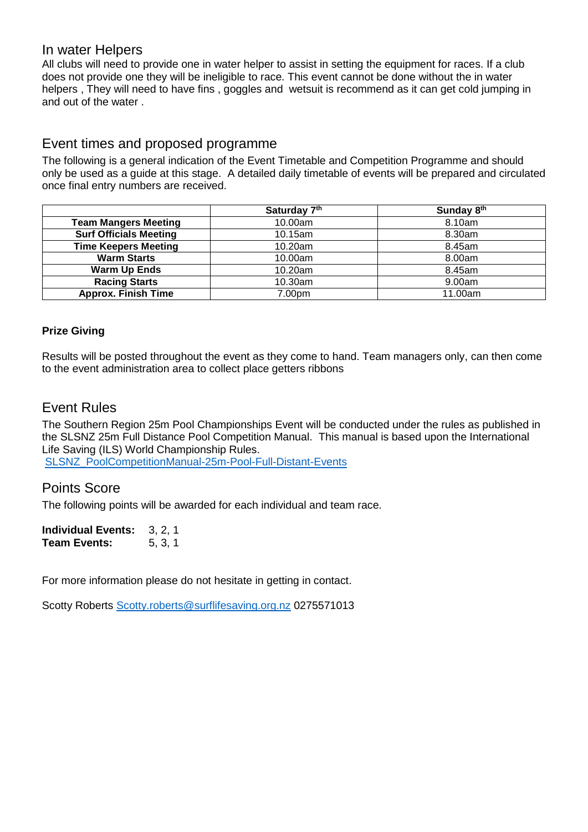### In water Helpers

All clubs will need to provide one in water helper to assist in setting the equipment for races. If a club does not provide one they will be ineligible to race. This event cannot be done without the in water helpers , They will need to have fins , goggles and wetsuit is recommend as it can get cold jumping in and out of the water .

## Event times and proposed programme

The following is a general indication of the Event Timetable and Competition Programme and should only be used as a guide at this stage. A detailed daily timetable of events will be prepared and circulated once final entry numbers are received.

|                               | Saturday 7th | Sunday 8th |
|-------------------------------|--------------|------------|
| <b>Team Mangers Meeting</b>   | 10.00am      | 8.10am     |
| <b>Surf Officials Meeting</b> | 10.15am      | 8.30am     |
| <b>Time Keepers Meeting</b>   | 10.20am      | 8.45am     |
| <b>Warm Starts</b>            | 10.00am      | 8.00am     |
| <b>Warm Up Ends</b>           | 10.20am      | 8.45am     |
| <b>Racing Starts</b>          | 10.30am      | 9.00am     |
| <b>Approx. Finish Time</b>    | 7.00pm       | 11.00am    |

#### **Prize Giving**

Results will be posted throughout the event as they come to hand. Team managers only, can then come to the event administration area to collect place getters ribbons

## Event Rules

The Southern Region 25m Pool Championships Event will be conducted under the rules as published in the SLSNZ 25m Full Distance Pool Competition Manual. This manual is based upon the International Life Saving (ILS) World Championship Rules.

[SLSNZ\\_PoolCompetitionManual-25m-Pool-Full-Distant-Events](https://www.surflifesaving.org.nz/media/858808/201705_SLSNZ_PoolCompetitionManual-25m-Pool-Full-Distant-Events-.pdf)

## Points Score

The following points will be awarded for each individual and team race.

**Individual Events:** 3, 2, 1 **Team Events:** 5, 3, 1

For more information please do not hesitate in getting in contact.

Scotty Roberts [Scotty.roberts@surflifesaving.org.nz](mailto:Scotty.roberts@surflifesaving.org.nz) 0275571013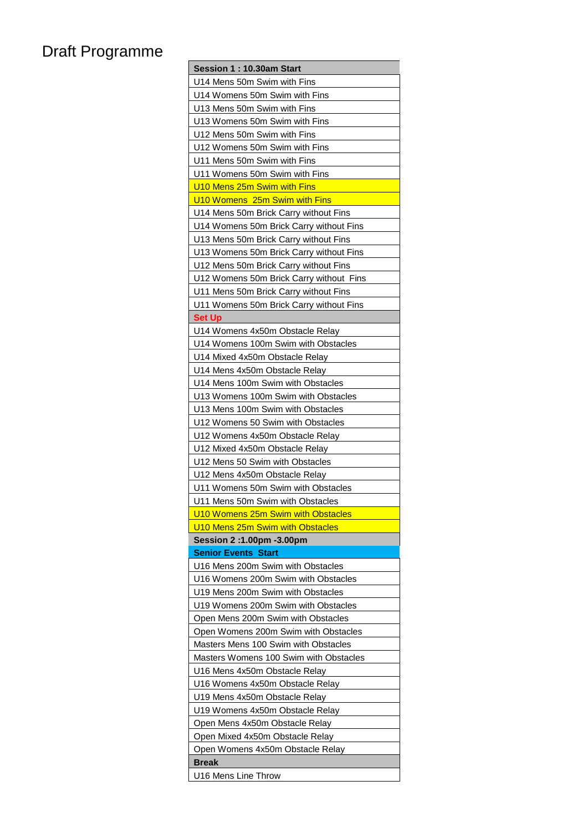## Draft Programme

| Session 1: 10.30am Start                |
|-----------------------------------------|
| U14 Mens 50m Swim with Fins             |
| U14 Womens 50m Swim with Fins           |
| U13 Mens 50m Swim with Fins             |
| U13 Womens 50m Swim with Fins           |
| U12 Mens 50m Swim with Fins             |
| U12 Womens 50m Swim with Fins           |
| U11 Mens 50m Swim with Fins             |
| U11 Womens 50m Swim with Fins           |
| U10 Mens 25m Swim with Fins             |
| U10 Womens 25m Swim with Fins           |
| U14 Mens 50m Brick Carry without Fins   |
| U14 Womens 50m Brick Carry without Fins |
| U13 Mens 50m Brick Carry without Fins   |
| U13 Womens 50m Brick Carry without Fins |
| U12 Mens 50m Brick Carry without Fins   |
| U12 Womens 50m Brick Carry without Fins |
| U11 Mens 50m Brick Carry without Fins   |
| U11 Womens 50m Brick Carry without Fins |
| <b>Set Up</b>                           |
| U14 Womens 4x50m Obstacle Relay         |
| U14 Womens 100m Swim with Obstacles     |
| U14 Mixed 4x50m Obstacle Relay          |
| U14 Mens 4x50m Obstacle Relay           |
| U14 Mens 100m Swim with Obstacles       |
| U13 Womens 100m Swim with Obstacles     |
| U13 Mens 100m Swim with Obstacles       |
| U12 Womens 50 Swim with Obstacles       |
| U12 Womens 4x50m Obstacle Relay         |
| U12 Mixed 4x50m Obstacle Relay          |
| U12 Mens 50 Swim with Obstacles         |
| U12 Mens 4x50m Obstacle Relay           |
| U11 Womens 50m Swim with Obstacles      |
| U11 Mens 50m Swim with Obstacles        |
| U10 Womens 25m Swim with Obstacles      |
| U10 Mens 25m Swim with Obstacles        |
| Session 2:1.00pm -3.00pm                |
| <b>Senior Events Start</b>              |
| U16 Mens 200m Swim with Obstacles       |
| U16 Womens 200m Swim with Obstacles     |
| U19 Mens 200m Swim with Obstacles       |
| U19 Womens 200m Swim with Obstacles     |
| Open Mens 200m Swim with Obstacles      |
| Open Womens 200m Swim with Obstacles    |
|                                         |
| Masters Mens 100 Swim with Obstacles    |
| Masters Womens 100 Swim with Obstacles  |
| U16 Mens 4x50m Obstacle Relay           |
| U16 Womens 4x50m Obstacle Relay         |
| U19 Mens 4x50m Obstacle Relay           |
| U19 Womens 4x50m Obstacle Relay         |
| Open Mens 4x50m Obstacle Relay          |
| Open Mixed 4x50m Obstacle Relay         |
| Open Womens 4x50m Obstacle Relay        |
| <b>Break</b>                            |
| U16 Mens Line Throw                     |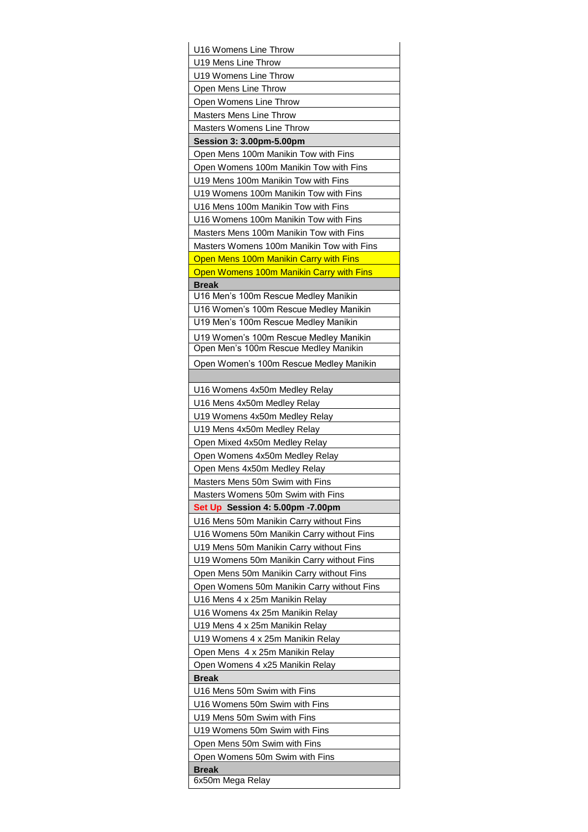| U16 Womens Line Throw                                                           |
|---------------------------------------------------------------------------------|
| U19 Mens Line Throw                                                             |
| U19 Womens Line Throw                                                           |
| Open Mens Line Throw                                                            |
| Open Womens Line Throw                                                          |
| <b>Masters Mens Line Throw</b>                                                  |
| <b>Masters Womens Line Throw</b>                                                |
| Session 3: 3.00pm-5.00pm                                                        |
| Open Mens 100m Manikin Tow with Fins                                            |
| Open Womens 100m Manikin Tow with Fins                                          |
| U19 Mens 100m Manikin Tow with Fins                                             |
| U19 Womens 100m Manikin Tow with Fins                                           |
| U16 Mens 100m Manikin Tow with Fins                                             |
| U16 Womens 100m Manikin Tow with Fins                                           |
| Masters Mens 100m Manikin Tow with Fins                                         |
| Masters Womens 100m Manikin Tow with Fins                                       |
| Open Mens 100m Manikin Carry with Fins                                          |
| Open Womens 100m Manikin Carry with Fins                                        |
| <b>Break</b>                                                                    |
| U16 Men's 100m Rescue Medley Manikin                                            |
| U16 Women's 100m Rescue Medley Manikin                                          |
| U19 Men's 100m Rescue Medley Manikin                                            |
| U19 Women's 100m Rescue Medley Manikin<br>Open Men's 100m Rescue Medley Manikin |
|                                                                                 |
| Open Women's 100m Rescue Medley Manikin                                         |
| U16 Womens 4x50m Medley Relay                                                   |
| U16 Mens 4x50m Medley Relay                                                     |
| U19 Womens 4x50m Medley Relay                                                   |
| U19 Mens 4x50m Medley Relay                                                     |
| Open Mixed 4x50m Medley Relay                                                   |
| Open Womens 4x50m Medley Relay                                                  |
| Open Mens 4x50m Medley Relay                                                    |
| Masters Mens 50m Swim with Fins                                                 |
| Masters Womens 50m Swim with Fins                                               |
| Set Up Session 4: 5.00pm -7.00pm                                                |
| U16 Mens 50m Manikin Carry without Fins                                         |
| U16 Womens 50m Manikin Carry without Fins                                       |
| U19 Mens 50m Manikin Carry without Fins                                         |
| U19 Womens 50m Manikin Carry without Fins                                       |
| Open Mens 50m Manikin Carry without Fins                                        |
| Open Womens 50m Manikin Carry without Fins                                      |
| U16 Mens 4 x 25m Manikin Relay                                                  |
| U16 Womens 4x 25m Manikin Relay                                                 |
| U19 Mens 4 x 25m Manikin Relay                                                  |
| U19 Womens 4 x 25m Manikin Relay                                                |
| Open Mens 4 x 25m Manikin Relay                                                 |
| Open Womens 4 x25 Manikin Relay                                                 |
| <b>Break</b>                                                                    |
| U16 Mens 50m Swim with Fins                                                     |
| U16 Womens 50m Swim with Fins                                                   |
| U19 Mens 50m Swim with Fins                                                     |
| U19 Womens 50m Swim with Fins                                                   |
| Open Mens 50m Swim with Fins                                                    |
| Open Womens 50m Swim with Fins<br><b>Break</b>                                  |
| 6x50m Mega Relay                                                                |
|                                                                                 |